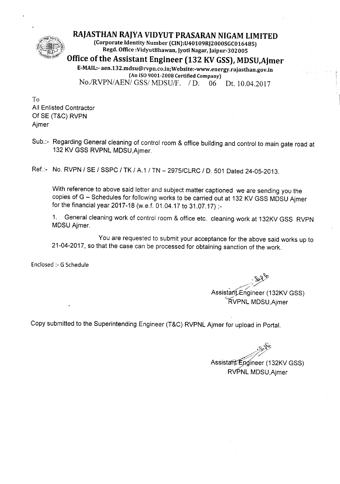

**RAJASTHAN RAJYA VIDYUT PRASARAN NIGAM LIMITED**

(Corporate Identity Number (CIN):U40109RJ2000SGC016485) Regd. Office :VidyutBhawan, Jyoti Nagar, Jaipur-302005

**Office** of the **Assistant Engineer (132 KV GSS),MDSU,Ajrner**

E-MAIL:-aen.132.mdsu@rvpn.co.in;Website:-www.energy.rajasthan.gov.in (An ISO 9001-2008 Certified Company) *NO.IRVPNIAENI GSSI*MDSUIF. *I* D. 06 Dt. 10.04.2017

To All Enlisted Contractor OfSE (T&C) RVPN Ajmer

Sub.:- Regarding General cleaning of control room & office building and control to main gate road at 132 KV GSS RVPNL MDSU,Ajmer.

Ref.:- No. RVPN / SE / SSPC / TK / A.1 *I* TN - 2975/CLRC / D. 501 Dated 24-05-2013.

With reference to above said letter and subject matter captioned we are sending you the copies of G - Schedules for following works to be carried out at 132 KV GSS MDSU Ajmer for the financial year 2017-18 (w.e.f. 01.04.17 to 31.07.17) :-

1. General cleaning work of control room & office etc. cleaning work at 132KV GSS RVPN MDSU Ajmer.

You are requested to submit your acceptance for the above said works up to 21-04-2017, so that the case can be processed for obtaining sanction of the work.

Enclosed :- G Schedule

-~:~

Assistarij.Enqineer (132KV GSS) **KVPNL MDSU, Ajmer** 

Copy submitted to the Superintending Engineer (T&C) RVPNL Ajmer for upload in Portal.

 $z$ *'7Y'?/*

Assistant Engineer (132KV GSS) RVPNL MDSU, Ajmer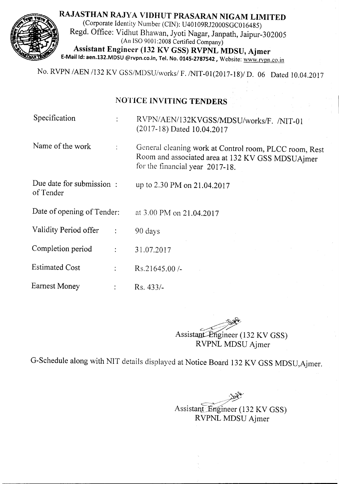RAJASTHAN RAJYA VIDHUT PRASARAN NIGAM LIMITED (Corporate Identity Number (CIN): U40109RJ2000SGC016485) Regd. Office: Vidhut Bhawan, Jyoti Nagar, Janpath, Jaipur-302005 (An ISO 9001 :2008 Certified Company) Assistant Engineer (132 KV GSS) RVPNL MDSU, Ajmer E-Mail ld: aen.132.MDSU @rvpn.co.in, Tel. No. 0145-2787542, Website: www.rvpn.co.in

No. RVPN *IAEN* 1132 KV *GSS/MDSU/worksl* F.INIT-Ol(2017-18)1 D. 06 Dated 10.04.2017

# NOTICE INVITING TENDERS

Specification : RVPN/AEN/132KVGSS/MDSU/works/F. /NIT-01 (2017-18) Dated 10.04.2017

Name of the work : General cleaning work at Control room, PLCC room, Rest Room and associated area at 132 KV GSS MDSUAjmer for the financial year 2017-18.

Due date for submission: of Tender

up to 2.30 PM on 21.04.2017

Date of opening of Tender: at 3.00 PM on 21.04.2017

Validity Period offer : 90 days

Completion period  $31.07.2017$ 

Estimated Cost : Rs.21645.00 /-

Earnest Money **Rs.** 433/-

~ Assistant-Engineer (132 KV GSS) RVPNL MDSU Ajmer

G-Schedule along with NIT details displayed at Notice Board 132 KV GSS MDSU,Ajmer.

Assistant Engineer (132 KV GSS) RVPNL MDSU Ajmer